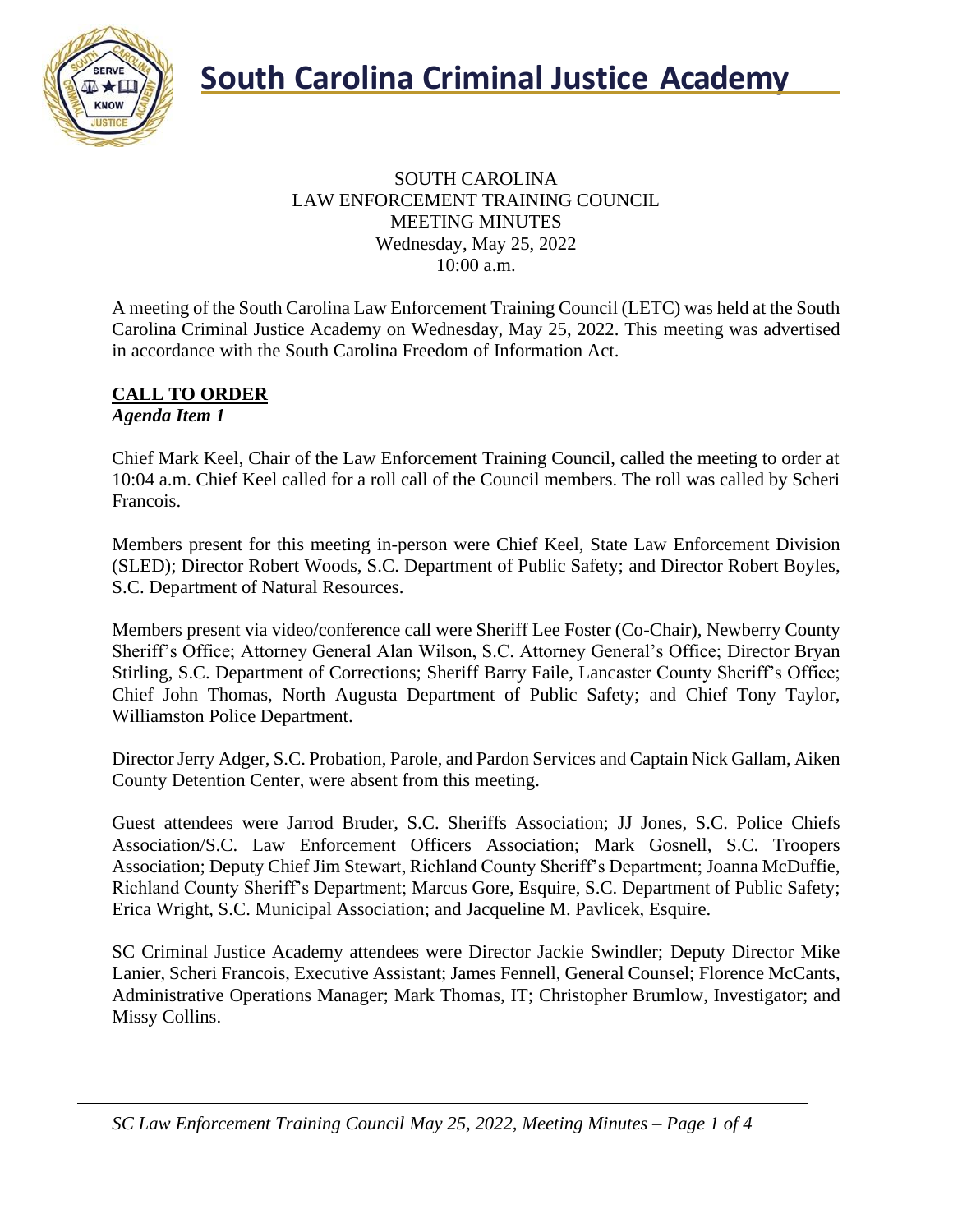

#### SOUTH CAROLINA LAW ENFORCEMENT TRAINING COUNCIL MEETING MINUTES Wednesday, May 25, 2022 10:00 a.m.

A meeting of the South Carolina Law Enforcement Training Council (LETC) was held at the South Carolina Criminal Justice Academy on Wednesday, May 25, 2022. This meeting was advertised in accordance with the South Carolina Freedom of Information Act.

#### **CALL TO ORDER** *Agenda Item 1*

Chief Mark Keel, Chair of the Law Enforcement Training Council, called the meeting to order at 10:04 a.m. Chief Keel called for a roll call of the Council members. The roll was called by Scheri Francois.

Members present for this meeting in-person were Chief Keel, State Law Enforcement Division (SLED); Director Robert Woods, S.C. Department of Public Safety; and Director Robert Boyles, S.C. Department of Natural Resources.

Members present via video/conference call were Sheriff Lee Foster (Co-Chair), Newberry County Sheriff's Office; Attorney General Alan Wilson, S.C. Attorney General's Office; Director Bryan Stirling, S.C. Department of Corrections; Sheriff Barry Faile, Lancaster County Sheriff's Office; Chief John Thomas, North Augusta Department of Public Safety; and Chief Tony Taylor, Williamston Police Department.

Director Jerry Adger, S.C. Probation, Parole, and Pardon Services and Captain Nick Gallam, Aiken County Detention Center, were absent from this meeting.

Guest attendees were Jarrod Bruder, S.C. Sheriffs Association; JJ Jones, S.C. Police Chiefs Association/S.C. Law Enforcement Officers Association; Mark Gosnell, S.C. Troopers Association; Deputy Chief Jim Stewart, Richland County Sheriff's Department; Joanna McDuffie, Richland County Sheriff's Department; Marcus Gore, Esquire, S.C. Department of Public Safety; Erica Wright, S.C. Municipal Association; and Jacqueline M. Pavlicek, Esquire.

SC Criminal Justice Academy attendees were Director Jackie Swindler; Deputy Director Mike Lanier, Scheri Francois, Executive Assistant; James Fennell, General Counsel; Florence McCants, Administrative Operations Manager; Mark Thomas, IT; Christopher Brumlow, Investigator; and Missy Collins.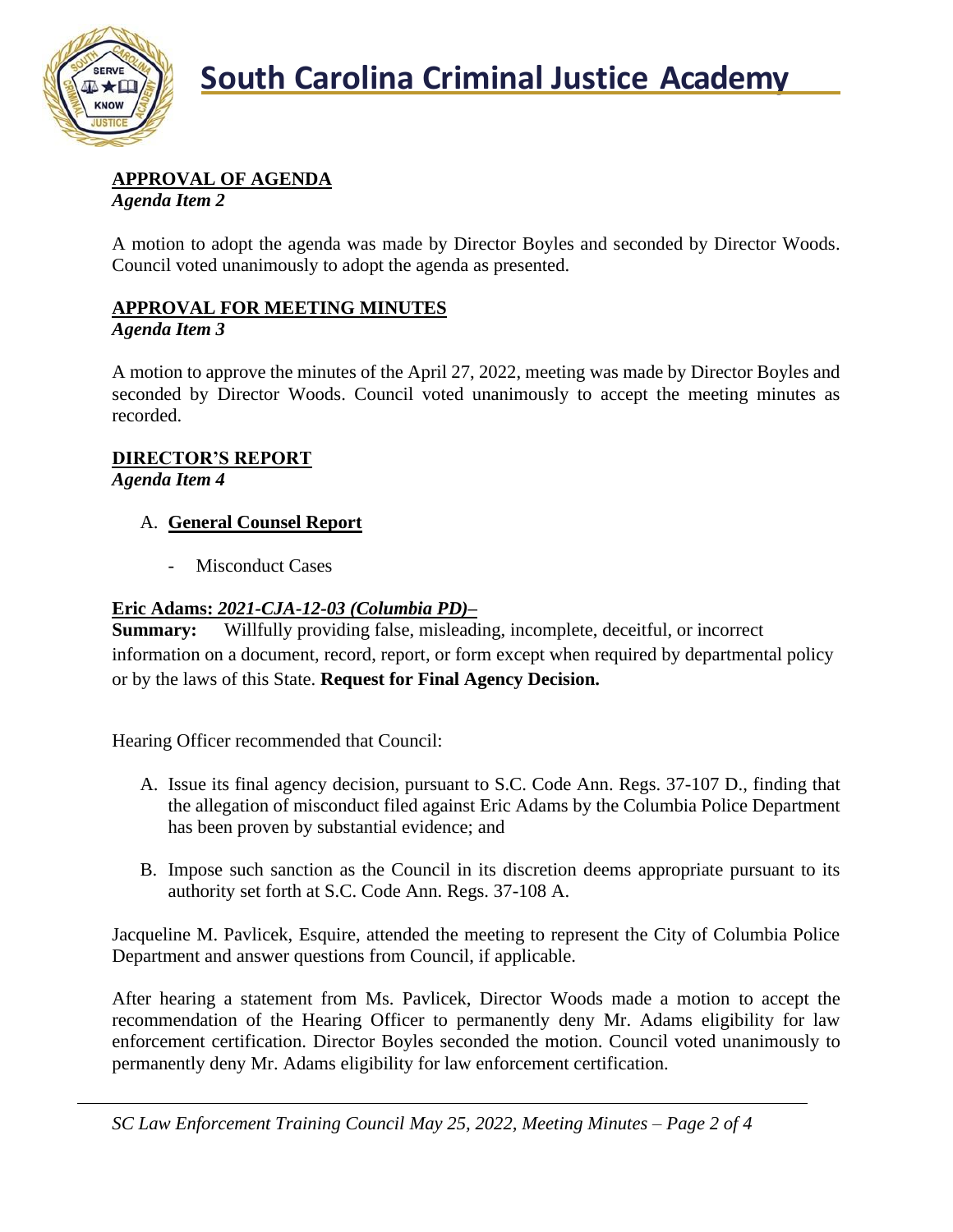

### **APPROVAL OF AGENDA**

*Agenda Item 2*

A motion to adopt the agenda was made by Director Boyles and seconded by Director Woods. Council voted unanimously to adopt the agenda as presented.

### **APPROVAL FOR MEETING MINUTES**

#### *Agenda Item 3*

A motion to approve the minutes of the April 27, 2022, meeting was made by Director Boyles and seconded by Director Woods. Council voted unanimously to accept the meeting minutes as recorded.

#### **DIRECTOR'S REPORT**

*Agenda Item 4*

#### A. **General Counsel Report**

- Misconduct Cases

#### **Eric Adams:** *2021-CJA-12-03 (Columbia PD)–*

**Summary:** Willfully providing false, misleading, incomplete, deceitful, or incorrect information on a document, record, report, or form except when required by departmental policy or by the laws of this State. **Request for Final Agency Decision.**

Hearing Officer recommended that Council:

- A. Issue its final agency decision, pursuant to S.C. Code Ann. Regs. 37-107 D., finding that the allegation of misconduct filed against Eric Adams by the Columbia Police Department has been proven by substantial evidence; and
- B. Impose such sanction as the Council in its discretion deems appropriate pursuant to its authority set forth at S.C. Code Ann. Regs. 37-108 A.

Jacqueline M. Pavlicek, Esquire, attended the meeting to represent the City of Columbia Police Department and answer questions from Council, if applicable.

After hearing a statement from Ms. Pavlicek, Director Woods made a motion to accept the recommendation of the Hearing Officer to permanently deny Mr. Adams eligibility for law enforcement certification. Director Boyles seconded the motion. Council voted unanimously to permanently deny Mr. Adams eligibility for law enforcement certification.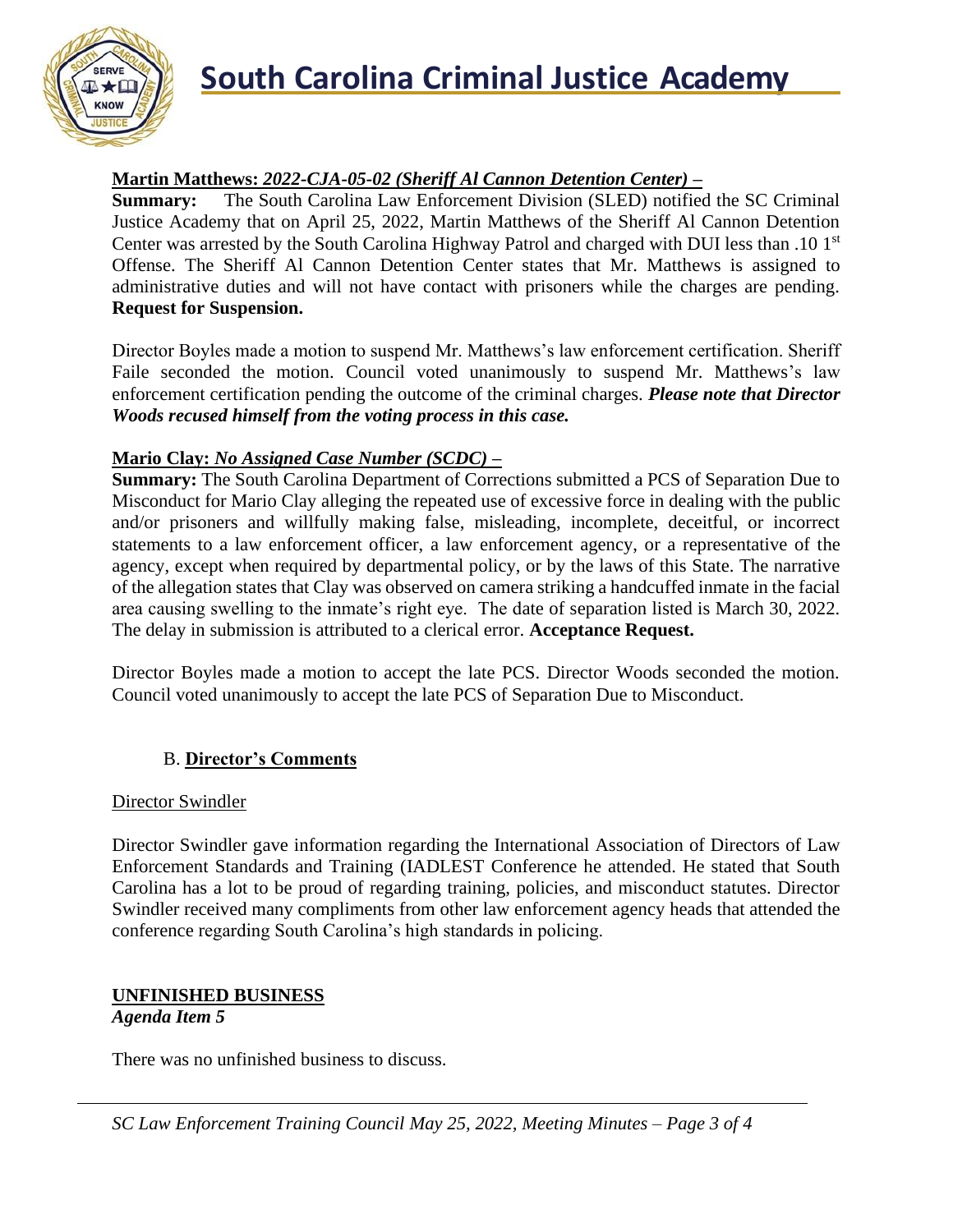

# **South Carolina Criminal Justice Academy**

#### **Martin Matthews:** *2022-CJA-05-02 (Sheriff Al Cannon Detention Center) –*

**Summary:** The South Carolina Law Enforcement Division (SLED) notified the SC Criminal Justice Academy that on April 25, 2022, Martin Matthews of the Sheriff Al Cannon Detention Center was arrested by the South Carolina Highway Patrol and charged with DUI less than .10 1st Offense. The Sheriff Al Cannon Detention Center states that Mr. Matthews is assigned to administrative duties and will not have contact with prisoners while the charges are pending. **Request for Suspension.**

Director Boyles made a motion to suspend Mr. Matthews's law enforcement certification. Sheriff Faile seconded the motion. Council voted unanimously to suspend Mr. Matthews's law enforcement certification pending the outcome of the criminal charges. *Please note that Director Woods recused himself from the voting process in this case.*

#### **Mario Clay:** *No Assigned Case Number (SCDC) –*

**Summary:** The South Carolina Department of Corrections submitted a PCS of Separation Due to Misconduct for Mario Clay alleging the repeated use of excessive force in dealing with the public and/or prisoners and willfully making false, misleading, incomplete, deceitful, or incorrect statements to a law enforcement officer, a law enforcement agency, or a representative of the agency, except when required by departmental policy, or by the laws of this State. The narrative of the allegation states that Clay was observed on camera striking a handcuffed inmate in the facial area causing swelling to the inmate's right eye. The date of separation listed is March 30, 2022. The delay in submission is attributed to a clerical error. **Acceptance Request.**

Director Boyles made a motion to accept the late PCS. Director Woods seconded the motion. Council voted unanimously to accept the late PCS of Separation Due to Misconduct.

#### B. **Director's Comments**

#### Director Swindler

Director Swindler gave information regarding the International Association of Directors of Law Enforcement Standards and Training (IADLEST Conference he attended. He stated that South Carolina has a lot to be proud of regarding training, policies, and misconduct statutes. Director Swindler received many compliments from other law enforcement agency heads that attended the conference regarding South Carolina's high standards in policing.

#### **UNFINISHED BUSINESS**

#### *Agenda Item 5*

There was no unfinished business to discuss.